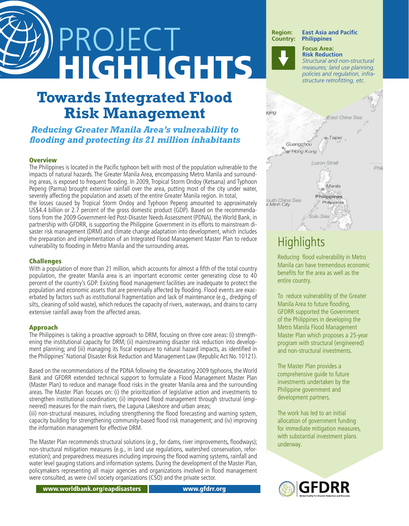# PROJECT HIGHLIGHTS

# **Towards Integrated Flood Risk Management**

## *Reducing Greater Manila Area's vulnerability to flooding and protecting its 21 million inhabitants*

## **Overview**

The Philippines is located in the Pacific typhoon belt with most of the population vulnerable to the impacts of natural hazards. The Greater Manila Area, encompassing Metro Manila and surrounding areas, is exposed to frequent flooding. In 2009, Tropical Storm Ondoy (Ketsana) and Typhoon Pepeng (Parma) brought extensive rainfall over the area, putting most of the city under water, severely affecting the population and assets of the entire Greater Manila region. In total,

the losses caused by Tropical Storm Ondoy and Typhoon Pepeng amounted to approximately US\$4.4 billion or 2.7 percent of the gross domestic product (GDP). Based on the recommendations from the 2009 Government-led Post-Disaster Needs Assessment (PDNA), the World Bank, in partnership with GFDRR, is supporting the Philippine Government in its efforts to mainstream disaster risk management (DRM) and climate change adaptation into development, which includes the preparation and implementation of an Integrated Flood Management Master Plan to reduce vulnerability to flooding in Metro Manila and the surrounding areas.

## **Challenges**

With a population of more than 21 million, which accounts for almost a fifth of the total country population, the greater Manila area is an important economic center generating close to 40 percent of the country's GDP. Existing flood management facilities are inadequate to protect the population and economic assets that are perennially affected by flooding. Flood events are exacerbated by factors such as institutional fragmentation and lack of maintenance (e.g., dredging of silts, cleaning of solid waste), which reduces the capacity of rivers, waterways, and drains to carry extensive rainfall away from the affected areas.

## Approach

The Philippines is taking a proactive approach to DRM, focusing on three core areas: (i) strengthening the institutional capacity for DRM; (ii) mainstreaming disaster risk reduction into development planning; and (iii) managing its fiscal exposure to natural hazard impacts, as identified in the Philippines' National Disaster Risk Reduction and Management Law (Republic Act No. 10121).

Based on the recommendations of the PDNA following the devastating 2009 typhoons, the World Bank and GFDRR extended technical support to formulate a Flood Management Master Plan (Master Plan) to reduce and manage flood risks in the greater Manila area and the surrounding areas. The Master Plan focuses on: (i) the prioritization of legislative action and investments to strengthen institutional coordination; (ii) improved flood management through structural (engineered) measures for the main rivers, the Laguna Lakeshore and urban areas;

(iii) non-structural measures, including strengthening the flood forecasting and warning system, capacity building for strengthening community-based flood risk management; and (iv) improving the information management for effective DRM.

The Master Plan recommends structural solutions (e.g., for dams, river improvements, floodways); non-structural mitigation measures (e.g., in land use regulations, watershed conservation, reforestation); and preparedness measures including improving the flood warning systems, rainfall and water level gauging stations and information systems. During the development of the Master Plan, policymakers representing all major agencies and organizations involved in flood management were consulted, as were civil society organizations (CSO) and the private sector.



## **Highlights**

Reducing flood vulnerability in Metro Manila can have tremendous economic benefits for the area as well as the entire country.

To reduce vulnerability of the Greater Manila Area to future flooding, GFDRR supported the Government of the Philippines in developing the Metro Manila Flood Management Master Plan which proposes a 25-year program with structural (engineered) and non-structural investments.

The Master Plan provides a comprehensive guide to future investments undertaken by the Philippine government and development partners.

The work has led to an initial allocation of government funding for immediate mitigation measures, with substantial investment plans underway.



www.worldbank.org/eapdisasters www.gfdrr.org